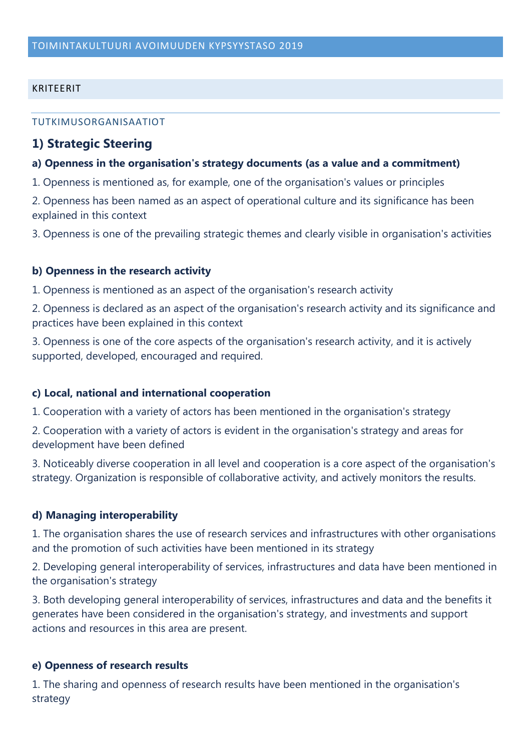#### KRITEERIT

#### TUTKIMUSORGANISAATIOT

### **1) Strategic Steering**

#### **a) Openness in the organisation's strategy documents (as a value and a commitment)**

1. Openness is mentioned as, for example, one of the organisation's values or principles

2. Openness has been named as an aspect of operational culture and its significance has been explained in this context

3. Openness is one of the prevailing strategic themes and clearly visible in organisation's activities

#### **b) Openness in the research activity**

1. Openness is mentioned as an aspect of the organisation's research activity

2. Openness is declared as an aspect of the organisation's research activity and its significance and practices have been explained in this context

3. Openness is one of the core aspects of the organisation's research activity, and it is actively supported, developed, encouraged and required.

#### **c) Local, national and international cooperation**

1. Cooperation with a variety of actors has been mentioned in the organisation's strategy

2. Cooperation with a variety of actors is evident in the organisation's strategy and areas for development have been defined

3. Noticeably diverse cooperation in all level and cooperation is a core aspect of the organisation's strategy. Organization is responsible of collaborative activity, and actively monitors the results.

#### **d) Managing interoperability**

1. The organisation shares the use of research services and infrastructures with other organisations and the promotion of such activities have been mentioned in its strategy

2. Developing general interoperability of services, infrastructures and data have been mentioned in the organisation's strategy

3. Both developing general interoperability of services, infrastructures and data and the benefits it generates have been considered in the organisation's strategy, and investments and support actions and resources in this area are present.

#### **e) Openness of research results**

1. The sharing and openness of research results have been mentioned in the organisation's strategy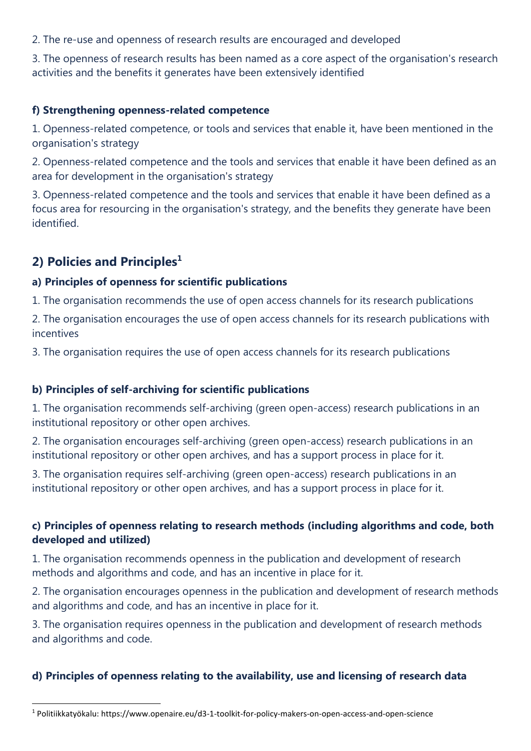2. The re-use and openness of research results are encouraged and developed

3. The openness of research results has been named as a core aspect of the organisation's research activities and the benefits it generates have been extensively identified

#### **f) Strengthening openness-related competence**

1. Openness-related competence, or tools and services that enable it, have been mentioned in the organisation's strategy

2. Openness-related competence and the tools and services that enable it have been defined as an area for development in the organisation's strategy

3. Openness-related competence and the tools and services that enable it have been defined as a focus area for resourcing in the organisation's strategy, and the benefits they generate have been identified.

# **2) Policies and Principles<sup>1</sup>**

## **a) Principles of openness for scientific publications**

1. The organisation recommends the use of open access channels for its research publications

2. The organisation encourages the use of open access channels for its research publications with incentives

3. The organisation requires the use of open access channels for its research publications

## **b) Principles of self-archiving for scientific publications**

1. The organisation recommends self-archiving (green open-access) research publications in an institutional repository or other open archives.

2. The organisation encourages self-archiving (green open-access) research publications in an institutional repository or other open archives, and has a support process in place for it.

3. The organisation requires self-archiving (green open-access) research publications in an institutional repository or other open archives, and has a support process in place for it.

# **c) Principles of openness relating to research methods (including algorithms and code, both developed and utilized)**

1. The organisation recommends openness in the publication and development of research methods and algorithms and code, and has an incentive in place for it.

2. The organisation encourages openness in the publication and development of research methods and algorithms and code, and has an incentive in place for it.

3. The organisation requires openness in the publication and development of research methods and algorithms and code.

# **d) Principles of openness relating to the availability, use and licensing of research data**

<sup>1</sup> <sup>1</sup> Politiikkatyökalu: https://www.openaire.eu/d3-1-toolkit-for-policy-makers-on-open-access-and-open-science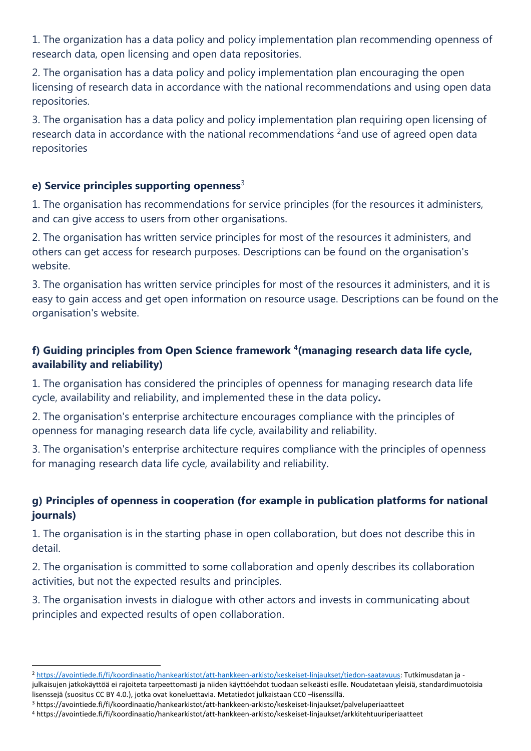1. The organization has a data policy and policy implementation plan recommending openness of research data, open licensing and open data repositories.

2. The organisation has a data policy and policy implementation plan encouraging the open licensing of research data in accordance with the national recommendations and using open data repositories.

3. The organisation has a data policy and policy implementation plan requiring open licensing of research data in accordance with the national recommendations <sup>2</sup> and use of agreed open data repositories

### **e) Service principles supporting openness**<sup>3</sup>

1. The organisation has recommendations for service principles (for the resources it administers, and can give access to users from other organisations.

2. The organisation has written service principles for most of the resources it administers, and others can get access for research purposes. Descriptions can be found on the organisation's website.

3. The organisation has written service principles for most of the resources it administers, and it is easy to gain access and get open information on resource usage. Descriptions can be found on the organisation's website.

# **f) Guiding principles from Open Science framework <sup>4</sup> (managing research data life cycle, availability and reliability)**

1. The organisation has considered the principles of openness for managing research data life cycle, availability and reliability, and implemented these in the data policy**.**

2. The organisation's enterprise architecture encourages compliance with the principles of openness for managing research data life cycle, availability and reliability.

3. The organisation's enterprise architecture requires compliance with the principles of openness for managing research data life cycle, availability and reliability.

## **g) Principles of openness in cooperation (for example in publication platforms for national journals)**

1. The organisation is in the starting phase in open collaboration, but does not describe this in detail.

2. The organisation is committed to some collaboration and openly describes its collaboration activities, but not the expected results and principles.

3. The organisation invests in dialogue with other actors and invests in communicating about principles and expected results of open collaboration.

1

<sup>2</sup> [https://avointiede.fi/fi/koordinaatio/hankearkistot/att-hankkeen-arkisto/keskeiset-linjaukset/tiedon-saatavuus:](https://avointiede.fi/fi/koordinaatio/hankearkistot/att-hankkeen-arkisto/keskeiset-linjaukset/tiedon-saatavuus) Tutkimusdatan ja julkaisujen jatkokäyttöä ei rajoiteta tarpeettomasti ja niiden käyttöehdot tuodaan selkeästi esille. Noudatetaan yleisiä, standardimuotoisia lisenssejä (suositus CC BY 4.0.), jotka ovat koneluettavia. Metatiedot julkaistaan CC0 –lisenssillä.

<sup>3</sup> https://avointiede.fi/fi/koordinaatio/hankearkistot/att-hankkeen-arkisto/keskeiset-linjaukset/palveluperiaatteet

<sup>4</sup> https://avointiede.fi/fi/koordinaatio/hankearkistot/att-hankkeen-arkisto/keskeiset-linjaukset/arkkitehtuuriperiaatteet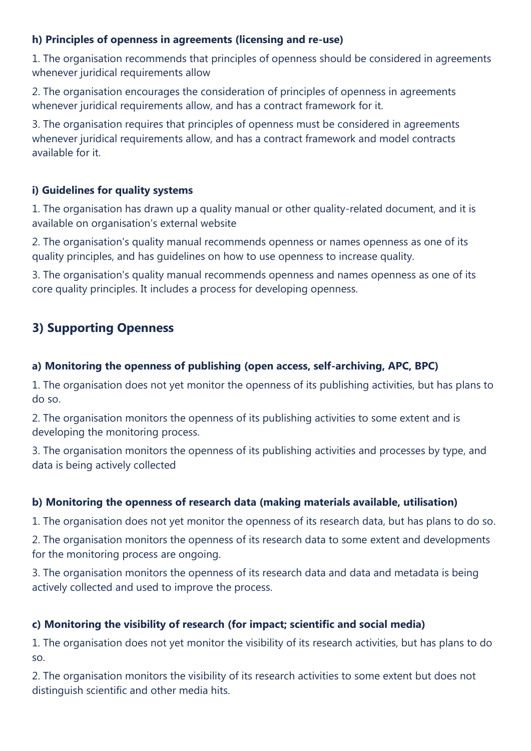### **h) Principles of openness in agreements (licensing and re-use)**

1. The organisation recommends that principles of openness should be considered in agreements whenever juridical requirements allow

2. The organisation encourages the consideration of principles of openness in agreements whenever juridical requirements allow, and has a contract framework for it.

3. The organisation requires that principles of openness must be considered in agreements whenever juridical requirements allow, and has a contract framework and model contracts available for it.

#### **i) Guidelines for quality systems**

1. The organisation has drawn up a quality manual or other quality-related document, and it is available on organisation's external website

2. The organisation's quality manual recommends openness or names openness as one of its quality principles, and has guidelines on how to use openness to increase quality.

3. The organisation's quality manual recommends openness and names openness as one of its core quality principles. It includes a process for developing openness.

# **3) Supporting Openness**

### **a) Monitoring the openness of publishing (open access, self-archiving, APC, BPC)**

1. The organisation does not yet monitor the openness of its publishing activities, but has plans to do so.

2. The organisation monitors the openness of its publishing activities to some extent and is developing the monitoring process.

3. The organisation monitors the openness of its publishing activities and processes by type, and data is being actively collected

## **b) Monitoring the openness of research data (making materials available, utilisation)**

1. The organisation does not yet monitor the openness of its research data, but has plans to do so.

2. The organisation monitors the openness of its research data to some extent and developments for the monitoring process are ongoing.

3. The organisation monitors the openness of its research data and data and metadata is being actively collected and used to improve the process.

## **c) Monitoring the visibility of research (for impact; scientific and social media)**

1. The organisation does not yet monitor the visibility of its research activities, but has plans to do so.

2. The organisation monitors the visibility of its research activities to some extent but does not distinguish scientific and other media hits.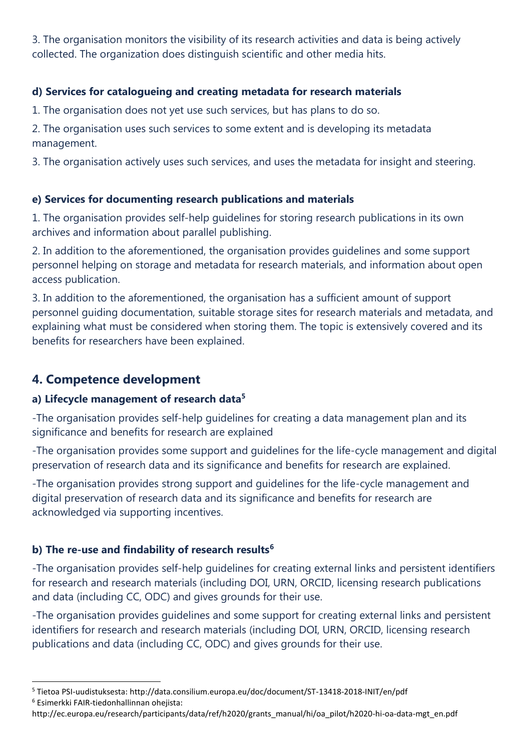3. The organisation monitors the visibility of its research activities and data is being actively collected. The organization does distinguish scientific and other media hits.

# **d) Services for catalogueing and creating metadata for research materials**

1. The organisation does not yet use such services, but has plans to do so.

2. The organisation uses such services to some extent and is developing its metadata management.

3. The organisation actively uses such services, and uses the metadata for insight and steering.

### **e) Services for documenting research publications and materials**

1. The organisation provides self-help guidelines for storing research publications in its own archives and information about parallel publishing.

2. In addition to the aforementioned, the organisation provides guidelines and some support personnel helping on storage and metadata for research materials, and information about open access publication.

3. In addition to the aforementioned, the organisation has a sufficient amount of support personnel guiding documentation, suitable storage sites for research materials and metadata, and explaining what must be considered when storing them. The topic is extensively covered and its benefits for researchers have been explained.

# **4. Competence development**

## **a) Lifecycle management of research data<sup>5</sup>**

-The organisation provides self-help guidelines for creating a data management plan and its significance and benefits for research are explained

-The organisation provides some support and guidelines for the life-cycle management and digital preservation of research data and its significance and benefits for research are explained.

-The organisation provides strong support and guidelines for the life-cycle management and digital preservation of research data and its significance and benefits for research are acknowledged via supporting incentives.

## **b) The re-use and findability of research results<sup>6</sup>**

-The organisation provides self-help guidelines for creating external links and persistent identifiers for research and research materials (including DOI, URN, ORCID, licensing research publications and data (including CC, ODC) and gives grounds for their use.

-The organisation provides guidelines and some support for creating external links and persistent identifiers for research and research materials (including DOI, URN, ORCID, licensing research publications and data (including CC, ODC) and gives grounds for their use.

1

<sup>5</sup> Tietoa PSI-uudistuksesta: http://data.consilium.europa.eu/doc/document/ST-13418-2018-INIT/en/pdf

<sup>6</sup> Esimerkki FAIR-tiedonhallinnan ohejista:

http://ec.europa.eu/research/participants/data/ref/h2020/grants\_manual/hi/oa\_pilot/h2020-hi-oa-data-mgt\_en.pdf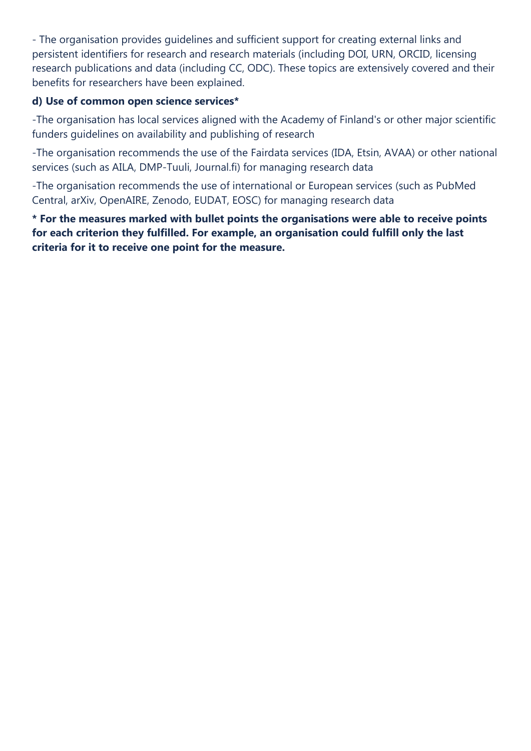- The organisation provides guidelines and sufficient support for creating external links and persistent identifiers for research and research materials (including DOI, URN, ORCID, licensing research publications and data (including CC, ODC). These topics are extensively covered and their benefits for researchers have been explained.

### **d) Use of common open science services\***

-The organisation has local services aligned with the Academy of Finland's or other major scientific funders guidelines on availability and publishing of research

-The organisation recommends the use of the Fairdata services (IDA, Etsin, AVAA) or other national services (such as AILA, DMP-Tuuli, Journal.fi) for managing research data

-The organisation recommends the use of international or European services (such as PubMed Central, arXiv, OpenAIRE, Zenodo, EUDAT, EOSC) for managing research data

**\* For the measures marked with bullet points the organisations were able to receive points for each criterion they fulfilled. For example, an organisation could fulfill only the last criteria for it to receive one point for the measure.**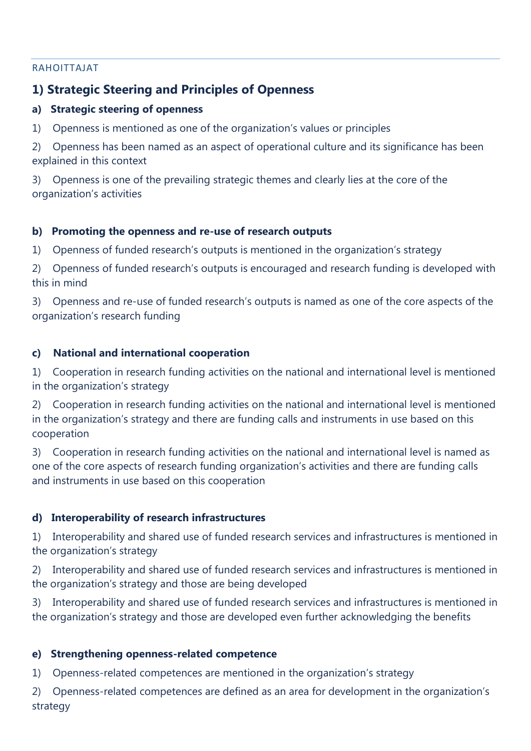#### RAHOITTAJAT

# **1) Strategic Steering and Principles of Openness**

### **a) Strategic steering of openness**

1) Openness is mentioned as one of the organization's values or principles

2) Openness has been named as an aspect of operational culture and its significance has been explained in this context

3) Openness is one of the prevailing strategic themes and clearly lies at the core of the organization's activities

### **b) Promoting the openness and re-use of research outputs**

1) Openness of funded research's outputs is mentioned in the organization's strategy

2) Openness of funded research's outputs is encouraged and research funding is developed with this in mind

3) Openness and re-use of funded research's outputs is named as one of the core aspects of the organization's research funding

### **c) National and international cooperation**

1) Cooperation in research funding activities on the national and international level is mentioned in the organization's strategy

2) Cooperation in research funding activities on the national and international level is mentioned in the organization's strategy and there are funding calls and instruments in use based on this cooperation

3) Cooperation in research funding activities on the national and international level is named as one of the core aspects of research funding organization's activities and there are funding calls and instruments in use based on this cooperation

## **d) Interoperability of research infrastructures**

1) Interoperability and shared use of funded research services and infrastructures is mentioned in the organization's strategy

2) Interoperability and shared use of funded research services and infrastructures is mentioned in the organization's strategy and those are being developed

3) Interoperability and shared use of funded research services and infrastructures is mentioned in the organization's strategy and those are developed even further acknowledging the benefits

#### **e) Strengthening openness-related competence**

1) Openness-related competences are mentioned in the organization's strategy

2) Openness-related competences are defined as an area for development in the organization's strategy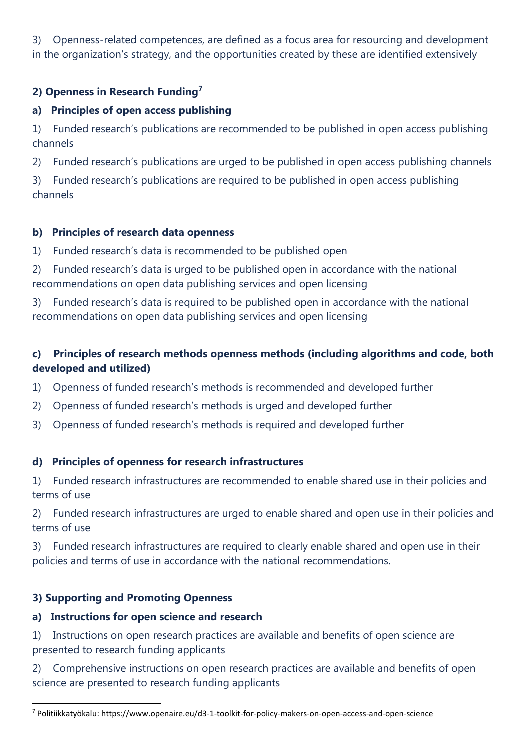3) Openness-related competences, are defined as a focus area for resourcing and development in the organization's strategy, and the opportunities created by these are identified extensively

## **2) Openness in Research Funding<sup>7</sup>**

# **a) Principles of open access publishing**

1) Funded research's publications are recommended to be published in open access publishing channels

2) Funded research's publications are urged to be published in open access publishing channels

3) Funded research's publications are required to be published in open access publishing channels

# **b) Principles of research data openness**

1) Funded research's data is recommended to be published open

2) Funded research's data is urged to be published open in accordance with the national recommendations on open data publishing services and open licensing

3) Funded research's data is required to be published open in accordance with the national recommendations on open data publishing services and open licensing

# **c) Principles of research methods openness methods (including algorithms and code, both developed and utilized)**

1) Openness of funded research's methods is recommended and developed further

- 2) Openness of funded research's methods is urged and developed further
- 3) Openness of funded research's methods is required and developed further

# **d) Principles of openness for research infrastructures**

1) Funded research infrastructures are recommended to enable shared use in their policies and terms of use

2) Funded research infrastructures are urged to enable shared and open use in their policies and terms of use

3) Funded research infrastructures are required to clearly enable shared and open use in their policies and terms of use in accordance with the national recommendations.

# **3) Supporting and Promoting Openness**

## **a) Instructions for open science and research**

1) Instructions on open research practices are available and benefits of open science are presented to research funding applicants

2) Comprehensive instructions on open research practices are available and benefits of open science are presented to research funding applicants

<sup>1</sup> <sup>7</sup> Politiikkatyökalu: https://www.openaire.eu/d3-1-toolkit-for-policy-makers-on-open-access-and-open-science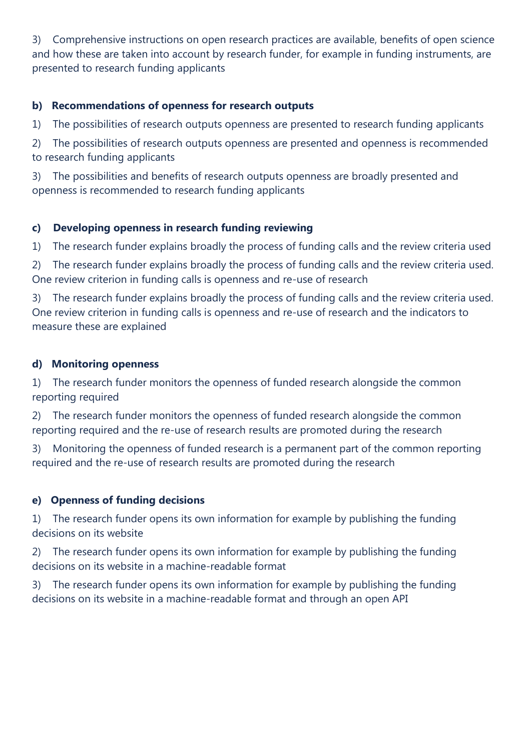3) Comprehensive instructions on open research practices are available, benefits of open science and how these are taken into account by research funder, for example in funding instruments, are presented to research funding applicants

### **b) Recommendations of openness for research outputs**

1) The possibilities of research outputs openness are presented to research funding applicants

2) The possibilities of research outputs openness are presented and openness is recommended to research funding applicants

3) The possibilities and benefits of research outputs openness are broadly presented and openness is recommended to research funding applicants

### **c) Developing openness in research funding reviewing**

1) The research funder explains broadly the process of funding calls and the review criteria used

2) The research funder explains broadly the process of funding calls and the review criteria used. One review criterion in funding calls is openness and re-use of research

3) The research funder explains broadly the process of funding calls and the review criteria used. One review criterion in funding calls is openness and re-use of research and the indicators to measure these are explained

#### **d) Monitoring openness**

1) The research funder monitors the openness of funded research alongside the common reporting required

2) The research funder monitors the openness of funded research alongside the common reporting required and the re-use of research results are promoted during the research

3) Monitoring the openness of funded research is a permanent part of the common reporting required and the re-use of research results are promoted during the research

## **e) Openness of funding decisions**

1) The research funder opens its own information for example by publishing the funding decisions on its website

2) The research funder opens its own information for example by publishing the funding decisions on its website in a machine-readable format

3) The research funder opens its own information for example by publishing the funding decisions on its website in a machine-readable format and through an open API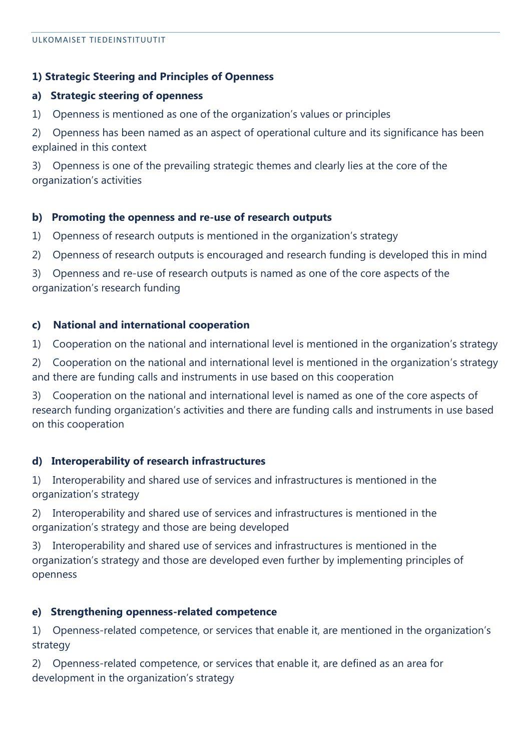#### **1) Strategic Steering and Principles of Openness**

#### **a) Strategic steering of openness**

1) Openness is mentioned as one of the organization's values or principles

2) Openness has been named as an aspect of operational culture and its significance has been explained in this context

3) Openness is one of the prevailing strategic themes and clearly lies at the core of the organization's activities

#### **b) Promoting the openness and re-use of research outputs**

1) Openness of research outputs is mentioned in the organization's strategy

2) Openness of research outputs is encouraged and research funding is developed this in mind

3) Openness and re-use of research outputs is named as one of the core aspects of the organization's research funding

#### **c) National and international cooperation**

1) Cooperation on the national and international level is mentioned in the organization's strategy

2) Cooperation on the national and international level is mentioned in the organization's strategy and there are funding calls and instruments in use based on this cooperation

3) Cooperation on the national and international level is named as one of the core aspects of research funding organization's activities and there are funding calls and instruments in use based on this cooperation

#### **d) Interoperability of research infrastructures**

1) Interoperability and shared use of services and infrastructures is mentioned in the organization's strategy

2) Interoperability and shared use of services and infrastructures is mentioned in the organization's strategy and those are being developed

3) Interoperability and shared use of services and infrastructures is mentioned in the organization's strategy and those are developed even further by implementing principles of openness

#### **e) Strengthening openness-related competence**

1) Openness-related competence, or services that enable it, are mentioned in the organization's strategy

2) Openness-related competence, or services that enable it, are defined as an area for development in the organization's strategy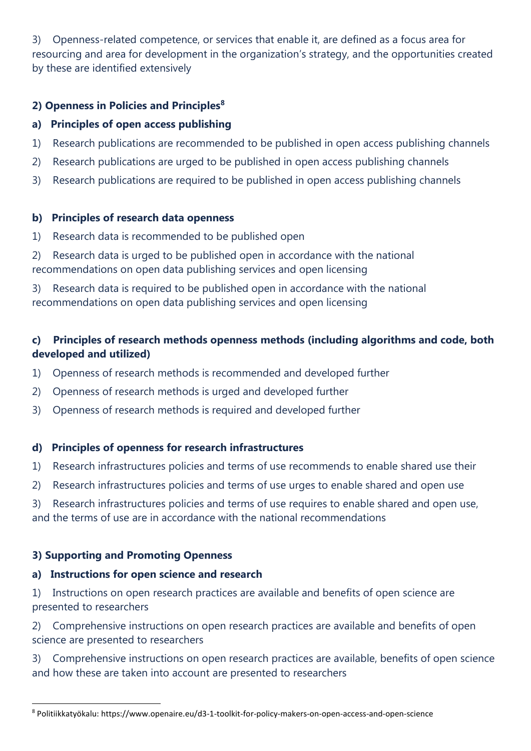3) Openness-related competence, or services that enable it, are defined as a focus area for resourcing and area for development in the organization's strategy, and the opportunities created by these are identified extensively

### **2) Openness in Policies and Principles<sup>8</sup>**

### **a) Principles of open access publishing**

- 1) Research publications are recommended to be published in open access publishing channels
- 2) Research publications are urged to be published in open access publishing channels
- 3) Research publications are required to be published in open access publishing channels

#### **b) Principles of research data openness**

- 1) Research data is recommended to be published open
- 2) Research data is urged to be published open in accordance with the national recommendations on open data publishing services and open licensing

3) Research data is required to be published open in accordance with the national recommendations on open data publishing services and open licensing

# **c) Principles of research methods openness methods (including algorithms and code, both developed and utilized)**

- 1) Openness of research methods is recommended and developed further
- 2) Openness of research methods is urged and developed further
- 3) Openness of research methods is required and developed further

#### **d) Principles of openness for research infrastructures**

- 1) Research infrastructures policies and terms of use recommends to enable shared use their
- 2) Research infrastructures policies and terms of use urges to enable shared and open use

3) Research infrastructures policies and terms of use requires to enable shared and open use, and the terms of use are in accordance with the national recommendations

## **3) Supporting and Promoting Openness**

#### **a) Instructions for open science and research**

1) Instructions on open research practices are available and benefits of open science are presented to researchers

2) Comprehensive instructions on open research practices are available and benefits of open science are presented to researchers

3) Comprehensive instructions on open research practices are available, benefits of open science and how these are taken into account are presented to researchers

<sup>1</sup> <sup>8</sup> Politiikkatyökalu: https://www.openaire.eu/d3-1-toolkit-for-policy-makers-on-open-access-and-open-science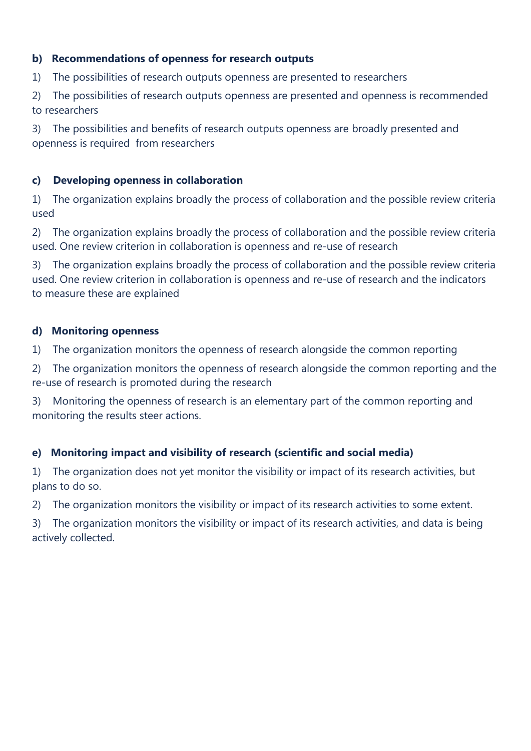### **b) Recommendations of openness for research outputs**

1) The possibilities of research outputs openness are presented to researchers

2) The possibilities of research outputs openness are presented and openness is recommended to researchers

3) The possibilities and benefits of research outputs openness are broadly presented and openness is required from researchers

#### **c) Developing openness in collaboration**

1) The organization explains broadly the process of collaboration and the possible review criteria used

2) The organization explains broadly the process of collaboration and the possible review criteria used. One review criterion in collaboration is openness and re-use of research

3) The organization explains broadly the process of collaboration and the possible review criteria used. One review criterion in collaboration is openness and re-use of research and the indicators to measure these are explained

#### **d) Monitoring openness**

1) The organization monitors the openness of research alongside the common reporting

2) The organization monitors the openness of research alongside the common reporting and the re-use of research is promoted during the research

3) Monitoring the openness of research is an elementary part of the common reporting and monitoring the results steer actions.

## **e) Monitoring impact and visibility of research (scientific and social media)**

1) The organization does not yet monitor the visibility or impact of its research activities, but plans to do so.

2) The organization monitors the visibility or impact of its research activities to some extent.

3) The organization monitors the visibility or impact of its research activities, and data is being actively collected.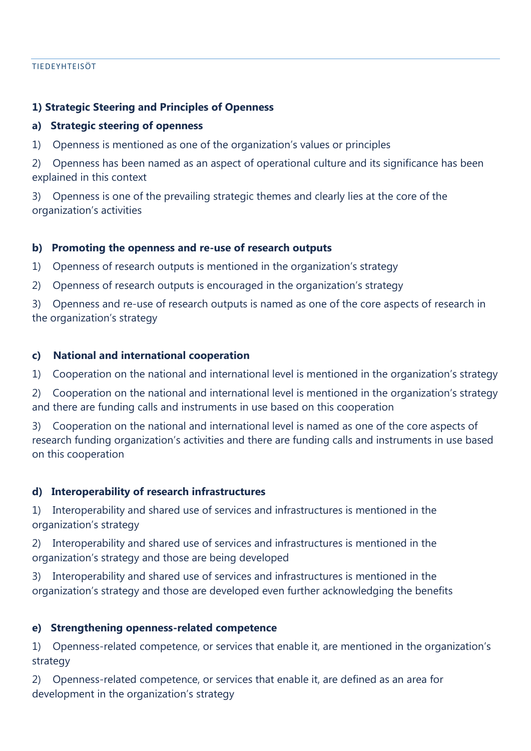#### TIEDEYHTEISÖT

#### **1) Strategic Steering and Principles of Openness**

#### **a) Strategic steering of openness**

1) Openness is mentioned as one of the organization's values or principles

2) Openness has been named as an aspect of operational culture and its significance has been explained in this context

3) Openness is one of the prevailing strategic themes and clearly lies at the core of the organization's activities

#### **b) Promoting the openness and re-use of research outputs**

1) Openness of research outputs is mentioned in the organization's strategy

2) Openness of research outputs is encouraged in the organization's strategy

3) Openness and re-use of research outputs is named as one of the core aspects of research in the organization's strategy

#### **c) National and international cooperation**

1) Cooperation on the national and international level is mentioned in the organization's strategy

2) Cooperation on the national and international level is mentioned in the organization's strategy and there are funding calls and instruments in use based on this cooperation

3) Cooperation on the national and international level is named as one of the core aspects of research funding organization's activities and there are funding calls and instruments in use based on this cooperation

#### **d) Interoperability of research infrastructures**

1) Interoperability and shared use of services and infrastructures is mentioned in the organization's strategy

2) Interoperability and shared use of services and infrastructures is mentioned in the organization's strategy and those are being developed

3) Interoperability and shared use of services and infrastructures is mentioned in the organization's strategy and those are developed even further acknowledging the benefits

#### **e) Strengthening openness-related competence**

1) Openness-related competence, or services that enable it, are mentioned in the organization's strategy

2) Openness-related competence, or services that enable it, are defined as an area for development in the organization's strategy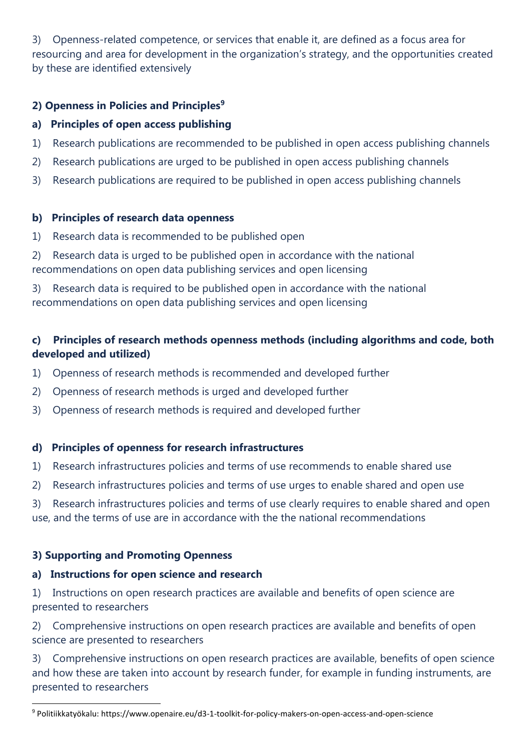3) Openness-related competence, or services that enable it, are defined as a focus area for resourcing and area for development in the organization's strategy, and the opportunities created by these are identified extensively

### **2) Openness in Policies and Principles<sup>9</sup>**

### **a) Principles of open access publishing**

- 1) Research publications are recommended to be published in open access publishing channels
- 2) Research publications are urged to be published in open access publishing channels
- 3) Research publications are required to be published in open access publishing channels

#### **b) Principles of research data openness**

- 1) Research data is recommended to be published open
- 2) Research data is urged to be published open in accordance with the national recommendations on open data publishing services and open licensing

3) Research data is required to be published open in accordance with the national recommendations on open data publishing services and open licensing

# **c) Principles of research methods openness methods (including algorithms and code, both developed and utilized)**

- 1) Openness of research methods is recommended and developed further
- 2) Openness of research methods is urged and developed further
- 3) Openness of research methods is required and developed further

#### **d) Principles of openness for research infrastructures**

- 1) Research infrastructures policies and terms of use recommends to enable shared use
- 2) Research infrastructures policies and terms of use urges to enable shared and open use

3) Research infrastructures policies and terms of use clearly requires to enable shared and open use, and the terms of use are in accordance with the the national recommendations

## **3) Supporting and Promoting Openness**

#### **a) Instructions for open science and research**

1) Instructions on open research practices are available and benefits of open science are presented to researchers

2) Comprehensive instructions on open research practices are available and benefits of open science are presented to researchers

3) Comprehensive instructions on open research practices are available, benefits of open science and how these are taken into account by research funder, for example in funding instruments, are presented to researchers

<sup>1</sup> <sup>9</sup> Politiikkatyökalu: https://www.openaire.eu/d3-1-toolkit-for-policy-makers-on-open-access-and-open-science